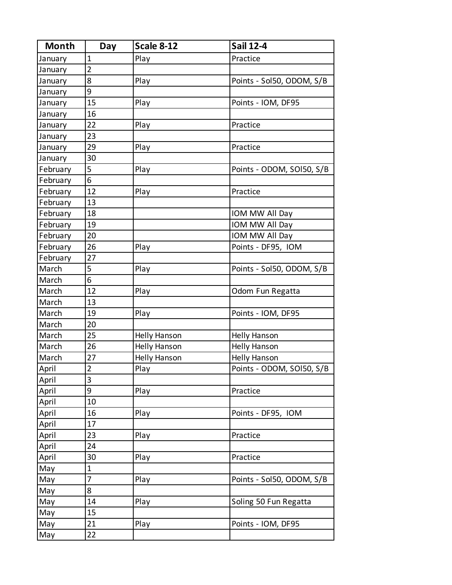| <b>Month</b> | Day            | <b>Scale 8-12</b>   | <b>Sail 12-4</b>          |
|--------------|----------------|---------------------|---------------------------|
| January      | $\mathbf{1}$   | Play                | Practice                  |
| January      | $\overline{2}$ |                     |                           |
| January      | 8              | Play                | Points - Sol50, ODOM, S/B |
| January      | 9              |                     |                           |
| January      | 15             | Play                | Points - IOM, DF95        |
| January      | 16             |                     |                           |
| January      | 22             | Play                | Practice                  |
| January      | 23             |                     |                           |
| January      | 29             | Play                | Practice                  |
| January      | 30             |                     |                           |
| February     | 5              | Play                | Points - ODOM, SOI50, S/B |
| February     | 6              |                     |                           |
| February     | 12             | Play                | Practice                  |
| February     | 13             |                     |                           |
| February     | 18             |                     | IOM MW All Day            |
| February     | 19             |                     | IOM MW All Day            |
| February     | 20             |                     | IOM MW All Day            |
| February     | 26             | Play                | Points - DF95, IOM        |
| February     | 27             |                     |                           |
| March        | 5              | Play                | Points - Sol50, ODOM, S/B |
| March        | 6              |                     |                           |
| March        | 12             | Play                | Odom Fun Regatta          |
| March        | 13             |                     |                           |
| March        | 19             | Play                | Points - IOM, DF95        |
| March        | 20             |                     |                           |
| March        | 25             | <b>Helly Hanson</b> | <b>Helly Hanson</b>       |
| March        | 26             | <b>Helly Hanson</b> | <b>Helly Hanson</b>       |
| March        | 27             | <b>Helly Hanson</b> | <b>Helly Hanson</b>       |
| April        | $\overline{2}$ | Play                | Points - ODOM, SOI50, S/B |
| April        | 3              |                     |                           |
| April        | 9              | Play                | Practice                  |
| April        | 10             |                     |                           |
| April        | 16             | Play                | Points - DF95, IOM        |
| April        | 17             |                     |                           |
| April        | 23             | Play                | Practice                  |
| April        | 24             |                     |                           |
| April        | 30             | Play                | Practice                  |
| May          | $\mathbf{1}$   |                     |                           |
| May          | 7              | Play                | Points - Sol50, ODOM, S/B |
| May          | 8              |                     |                           |
| May          | 14             | Play                | Soling 50 Fun Regatta     |
| May          | 15             |                     |                           |
| May          | 21             | Play                | Points - IOM, DF95        |
| May          | 22             |                     |                           |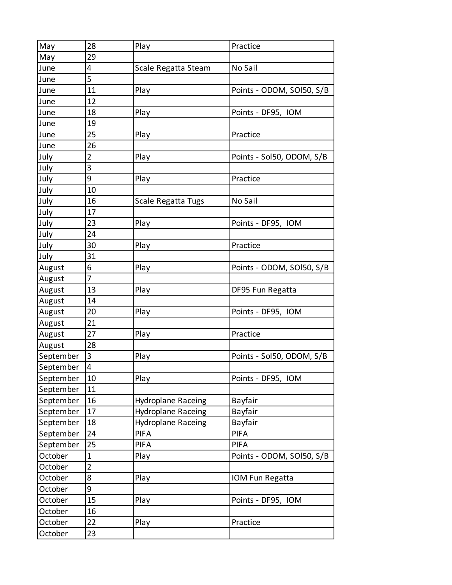| May       | 28             | Play                      | Practice                  |
|-----------|----------------|---------------------------|---------------------------|
| May       | 29             |                           |                           |
| June      | 4              | Scale Regatta Steam       | No Sail                   |
| June      | 5              |                           |                           |
| June      | 11             | Play                      | Points - ODOM, SOI50, S/B |
| June      | 12             |                           |                           |
| June      | 18             | Play                      | Points - DF95, IOM        |
| June      | 19             |                           |                           |
| June      | 25             | Play                      | Practice                  |
| June      | 26             |                           |                           |
| July      | $\overline{2}$ | Play                      | Points - Sol50, ODOM, S/B |
| July      | 3              |                           |                           |
| July      | 9              | Play                      | Practice                  |
| July      | 10             |                           |                           |
| July      | 16             | Scale Regatta Tugs        | No Sail                   |
| July      | 17             |                           |                           |
| July      | 23             | Play                      | Points - DF95, IOM        |
| July      | 24             |                           |                           |
| July      | 30             | Play                      | Practice                  |
| July      | 31             |                           |                           |
| August    | 6              | Play                      | Points - ODOM, SOI50, S/B |
| August    | 7              |                           |                           |
| August    | 13             | Play                      | DF95 Fun Regatta          |
| August    | 14             |                           |                           |
| August    | 20             | Play                      | Points - DF95, IOM        |
| August    | 21             |                           |                           |
| August    | 27             | Play                      | Practice                  |
| August    | 28             |                           |                           |
| September | 3              | Play                      | Points - Sol50, ODOM, S/B |
| September | 4              |                           |                           |
| September | 10             | Play                      | Points - DF95, IOM        |
| September | 11             |                           |                           |
| September | 16             | <b>Hydroplane Raceing</b> | Bayfair                   |
| September | 17             | Hydroplane Raceing        | Bayfair                   |
| September | 18             | Hydroplane Raceing        | Bayfair                   |
| September | 24             | <b>PIFA</b>               | <b>PIFA</b>               |
| September | 25             | <b>PIFA</b>               | <b>PIFA</b>               |
| October   | $\mathbf{1}$   | Play                      | Points - ODOM, SOI50, S/B |
| October   | $\overline{2}$ |                           |                           |
| October   | 8              | Play                      | IOM Fun Regatta           |
| October   | 9              |                           |                           |
| October   | 15             | Play                      | Points - DF95, IOM        |
| October   | 16             |                           |                           |
| October   | 22             | Play                      | Practice                  |
| October   | 23             |                           |                           |